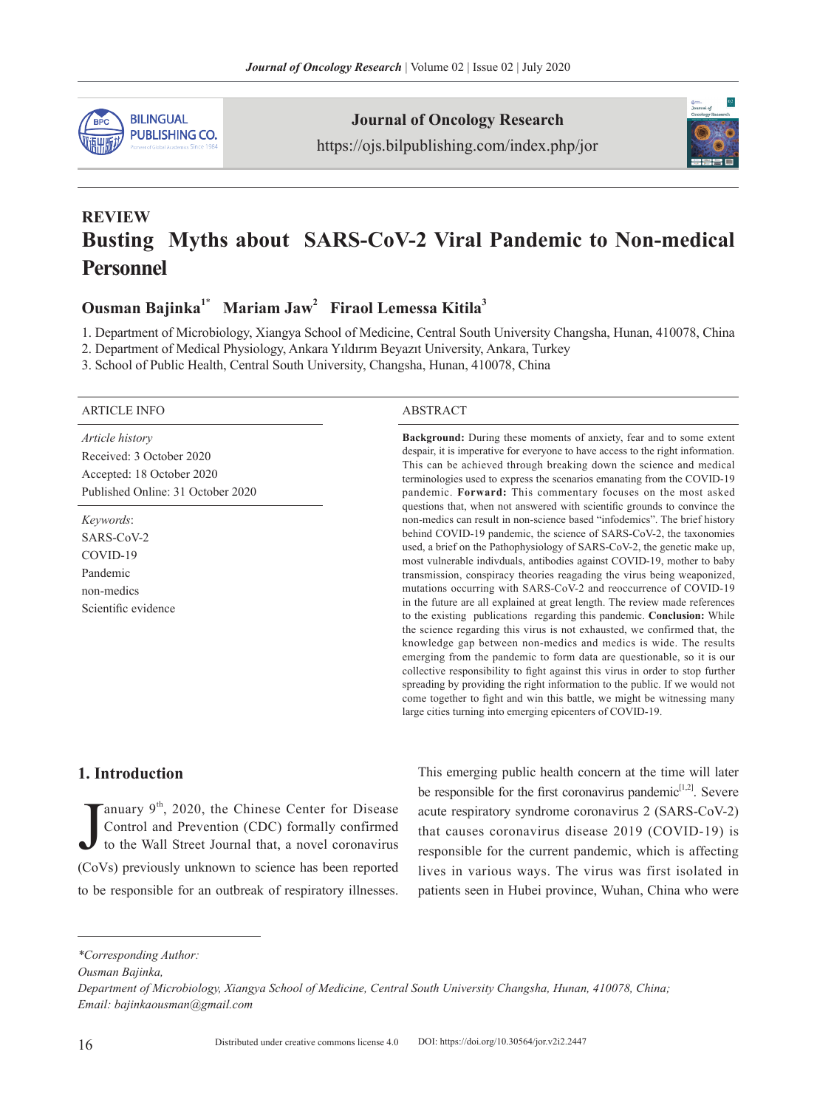

**Journal of Oncology Research**

https://ojs.bilpublishing.com/index.php/jor



## **REVIEW Busting Myths about SARS-CoV-2 Viral Pandemic to Non-medical Personnel**

**Ousman Bajinka<sup>1</sup>**\*  **Mariam Jaw2 Firaol Lemessa Kitila3** 

1. Department of Microbiology, Xiangya School of Medicine, Central South University Changsha, Hunan, 410078, China

2. Department of Medical Physiology, Ankara Yıldırım Beyazıt University, Ankara, Turkey

3. School of Public Health, Central South University, Changsha, Hunan, 410078, China

#### ARTICLE INFO ABSTRACT

*Article history* Received: 3 October 2020 Accepted: 18 October 2020 Published Online: 31 October 2020

*Keywords*: SARS-CoV-2 COVID-19 Pandemic non-medics Scientific evidence

**Background:** During these moments of anxiety, fear and to some extent despair, it is imperative for everyone to have access to the right information. This can be achieved through breaking down the science and medical terminologies used to express the scenarios emanating from the COVID-19 pandemic. **Forward:** This commentary focuses on the most asked questions that, when not answered with scientific grounds to convince the non-medics can result in non-science based "infodemics". The brief history behind COVID-19 pandemic, the science of SARS-CoV-2, the taxonomies used, a brief on the Pathophysiology of SARS-CoV-2, the genetic make up, most vulnerable indivduals, antibodies against COVID-19, mother to baby transmission, conspiracy theories reagading the virus being weaponized, mutations occurring with SARS-CoV-2 and reoccurrence of COVID-19 in the future are all explained at great length. The review made references to the existing publications regarding this pandemic. **Conclusion:** While the science regarding this virus is not exhausted, we confirmed that, the knowledge gap between non-medics and medics is wide. The results emerging from the pandemic to form data are questionable, so it is our collective responsibility to fight against this virus in order to stop further spreading by providing the right information to the public. If we would not come together to fight and win this battle, we might be witnessing many large cities turning into emerging epicenters of COVID-19.

#### **1. Introduction**

J Tanuary  $9<sup>th</sup>$ , 2020, the Chinese Center for Disease Control and Prevention (CDC) formally confirmed to the Wall Street Journal that, a novel coronavirus (CoVs) previously unknown to science has been reported to be responsible for an outbreak of respiratory illnesses. This emerging public health concern at the time will later be responsible for the first coronavirus pandemic $[1,2]$ . Severe acute respiratory syndrome coronavirus 2 (SARS-CoV-2) that causes coronavirus disease 2019 (COVID-19) is responsible for the current pandemic, which is affecting lives in various ways. The virus was first isolated in patients seen in Hubei province, Wuhan, China who were

*Ousman Bajinka,* 

*<sup>\*</sup>Corresponding Author:*

*Department of Microbiology, Xiangya School of Medicine, Central South University Changsha, Hunan, 410078, China; Email: bajinkaousman@gmail.com*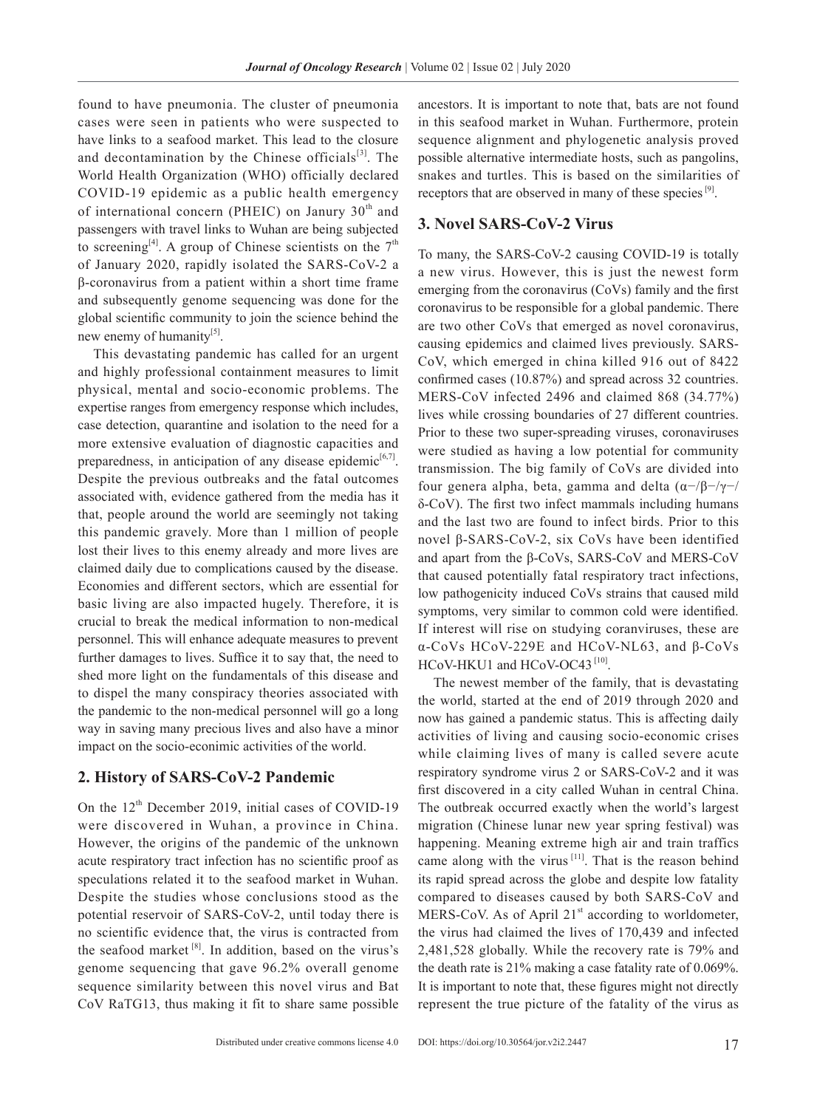found to have pneumonia. The cluster of pneumonia cases were seen in patients who were suspected to have links to a seafood market. This lead to the closure and decontamination by the Chinese officials<sup>[3]</sup>. The World Health Organization (WHO) officially declared COVID-19 epidemic as a public health emergency of international concern (PHEIC) on Janury  $30<sup>th</sup>$  and passengers with travel links to Wuhan are being subjected to screening<sup>[4]</sup>. A group of Chinese scientists on the  $7<sup>th</sup>$ of January 2020, rapidly isolated the SARS-CoV-2 a β-coronavirus from a patient within a short time frame and subsequently genome sequencing was done for the global scientific community to join the science behind the new enemy of humanity<sup>[5]</sup>.

This devastating pandemic has called for an urgent and highly professional containment measures to limit physical, mental and socio-economic problems. The expertise ranges from emergency response which includes, case detection, quarantine and isolation to the need for a more extensive evaluation of diagnostic capacities and preparedness, in anticipation of any disease epidemic<sup>[6,7]</sup>. Despite the previous outbreaks and the fatal outcomes associated with, evidence gathered from the media has it that, people around the world are seemingly not taking this pandemic gravely. More than 1 million of people lost their lives to this enemy already and more lives are claimed daily due to complications caused by the disease. Economies and different sectors, which are essential for basic living are also impacted hugely. Therefore, it is crucial to break the medical information to non-medical personnel. This will enhance adequate measures to prevent further damages to lives. Suffice it to say that, the need to shed more light on the fundamentals of this disease and to dispel the many conspiracy theories associated with the pandemic to the non-medical personnel will go a long way in saving many precious lives and also have a minor impact on the socio-econimic activities of the world.

#### **2. History of SARS-CoV-2 Pandemic**

On the  $12<sup>th</sup>$  December 2019, initial cases of COVID-19 were discovered in Wuhan, a province in China. However, the origins of the pandemic of the unknown acute respiratory tract infection has no scientific proof as speculations related it to the seafood market in Wuhan. Despite the studies whose conclusions stood as the potential reservoir of SARS-CoV-2, until today there is no scientific evidence that, the virus is contracted from the seafood market  $[8]$ . In addition, based on the virus's genome sequencing that gave 96.2% overall genome sequence similarity between this novel virus and Bat CoV RaTG13, thus making it fit to share same possible

ancestors. It is important to note that, bats are not found in this seafood market in Wuhan. Furthermore, protein sequence alignment and phylogenetic analysis proved possible alternative intermediate hosts, such as pangolins, snakes and turtles. This is based on the similarities of receptors that are observed in many of these species [9].

#### **3. Novel SARS-CoV-2 Virus**

To many, the SARS-CoV-2 causing COVID-19 is totally a new virus. However, this is just the newest form emerging from the coronavirus (CoVs) family and the first coronavirus to be responsible for a global pandemic. There are two other CoVs that emerged as novel coronavirus, causing epidemics and claimed lives previously. SARS-CoV, which emerged in china killed 916 out of 8422 confirmed cases (10.87%) and spread across 32 countries. MERS-CoV infected 2496 and claimed 868 (34.77%) lives while crossing boundaries of 27 different countries. Prior to these two super-spreading viruses, coronaviruses were studied as having a low potential for community transmission. The big family of CoVs are divided into four genera alpha, beta, gamma and delta (α−/β−/γ−/ δ-CoV). The first two infect mammals including humans and the last two are found to infect birds. Prior to this novel β-SARS-CoV-2, six CoVs have been identified and apart from the β-CoVs, SARS-CoV and MERS-CoV that caused potentially fatal respiratory tract infections, low pathogenicity induced CoVs strains that caused mild symptoms, very similar to common cold were identified. If interest will rise on studying coranviruses, these are α-CoVs HCoV-229E and HCoV-NL63, and β-CoVs HCoV-HKU1 and HCoV-OC43<sup>[10]</sup>.

The newest member of the family, that is devastating the world, started at the end of 2019 through 2020 and now has gained a pandemic status. This is affecting daily activities of living and causing socio-economic crises while claiming lives of many is called severe acute respiratory syndrome virus 2 or SARS-CoV-2 and it was first discovered in a city called Wuhan in central China. The outbreak occurred exactly when the world's largest migration (Chinese lunar new year spring festival) was happening. Meaning extreme high air and train traffics came along with the virus  $[11]$ . That is the reason behind its rapid spread across the globe and despite low fatality compared to diseases caused by both SARS-CoV and MERS-CoV. As of April  $21<sup>st</sup>$  according to worldometer, the virus had claimed the lives of 170,439 and infected 2,481,528 globally. While the recovery rate is 79% and the death rate is 21% making a case fatality rate of 0.069%. It is important to note that, these figures might not directly represent the true picture of the fatality of the virus as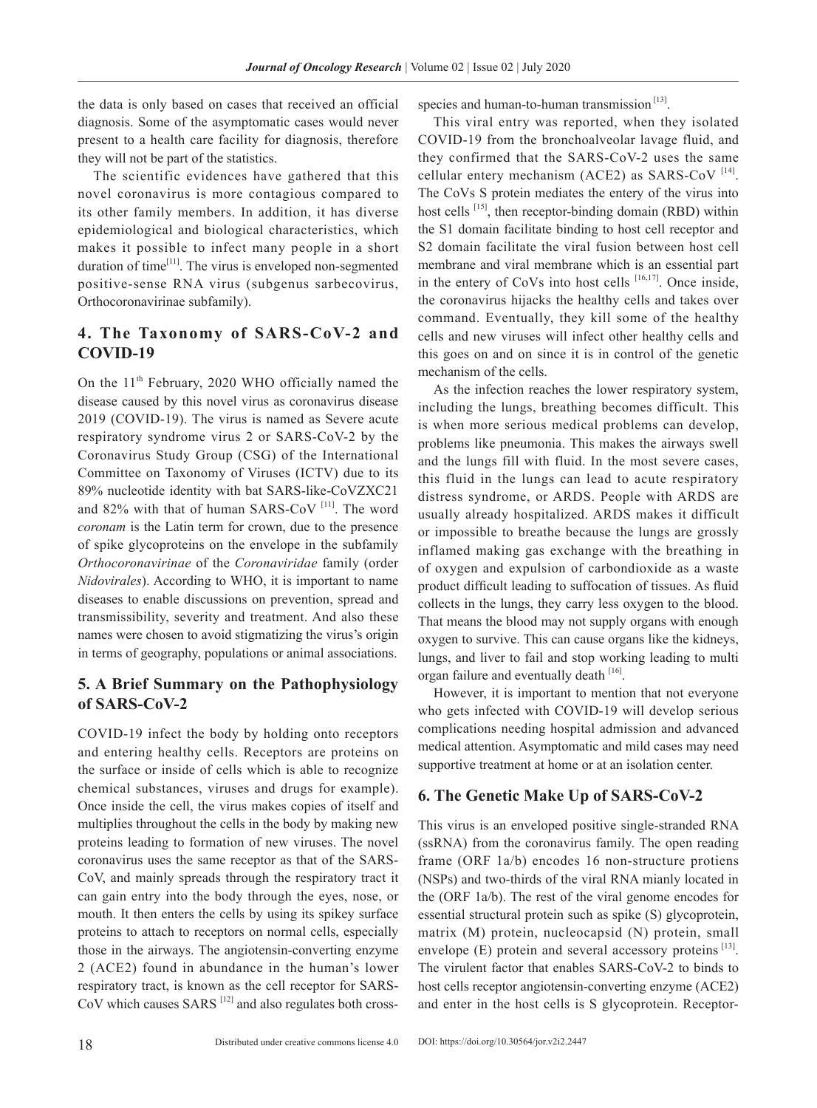the data is only based on cases that received an official diagnosis. Some of the asymptomatic cases would never present to a health care facility for diagnosis, therefore they will not be part of the statistics.

The scientific evidences have gathered that this novel coronavirus is more contagious compared to its other family members. In addition, it has diverse epidemiological and biological characteristics, which makes it possible to infect many people in a short duration of time $[11]$ . The virus is enveloped non-segmented positive-sense RNA virus (subgenus sarbecovirus, Orthocoronavirinae subfamily).

### **4. The Taxonomy of SARS-CoV-2 and COVID-19**

On the 11<sup>th</sup> February, 2020 WHO officially named the disease caused by this novel virus as coronavirus disease 2019 (COVID-19). The virus is named as Severe acute respiratory syndrome virus 2 or SARS-CoV-2 by the Coronavirus Study Group (CSG) of the International Committee on Taxonomy of Viruses (ICTV) due to its 89% nucleotide identity with bat SARS-like-CoVZXC21 and 82% with that of human SARS-CoV<sup>[11]</sup>. The word *coronam* is the Latin term for crown, due to the presence of spike glycoproteins on the envelope in the subfamily *Orthocoronavirinae* of the *Coronaviridae* family (order *Nidovirales*). According to WHO, it is important to name diseases to enable discussions on prevention, spread and transmissibility, severity and treatment. And also these names were chosen to avoid stigmatizing the virus's origin in terms of geography, populations or animal associations.

#### **5. A Brief Summary on the Pathophysiology of SARS-CoV-2**

COVID-19 infect the body by holding onto receptors and entering healthy cells. Receptors are proteins on the surface or inside of cells which is able to recognize chemical substances, viruses and drugs for example). Once inside the cell, the virus makes copies of itself and multiplies throughout the cells in the body by making new proteins leading to formation of new viruses. The novel coronavirus uses the same receptor as that of the SARS-CoV, and mainly spreads through the respiratory tract it can gain entry into the body through the eyes, nose, or mouth. It then enters the cells by using its spikey surface proteins to attach to receptors on normal cells, especially those in the airways. The angiotensin-converting enzyme 2 (ACE2) found in abundance in the human's lower respiratory tract, is known as the cell receptor for SARS- $CoV$  which causes  $SARS$ <sup>[12]</sup> and also regulates both crossspecies and human-to-human transmission<sup>[13]</sup>.

This viral entry was reported, when they isolated COVID-19 from the bronchoalveolar lavage fluid, and they confirmed that the SARS-CoV-2 uses the same cellular entery mechanism (ACE2) as SARS-CoV  $^{[14]}$ . The CoVs S protein mediates the entery of the virus into host cells <sup>[15]</sup>, then receptor-binding domain (RBD) within the S1 domain facilitate binding to host cell receptor and S2 domain facilitate the viral fusion between host cell membrane and viral membrane which is an essential part in the entery of CoVs into host cells  $[16,17]$ . Once inside, the coronavirus hijacks the healthy cells and takes over command. Eventually, they kill some of the healthy cells and new viruses will infect other healthy cells and this goes on and on since it is in control of the genetic mechanism of the cells.

As the infection reaches the lower respiratory system, including the lungs, breathing becomes difficult. This is when more serious medical problems can develop, problems like pneumonia. This makes the airways swell and the lungs fill with fluid. In the most severe cases, this fluid in the lungs can lead to acute respiratory distress syndrome, or ARDS. People with ARDS are usually already hospitalized. ARDS makes it difficult or impossible to breathe because the lungs are grossly inflamed making gas exchange with the breathing in of oxygen and expulsion of carbondioxide as a waste product difficult leading to suffocation of tissues. As fluid collects in the lungs, they carry less oxygen to the blood. That means the blood may not supply organs with enough oxygen to survive. This can cause organs like the kidneys, lungs, and liver to fail and stop working leading to multi organ failure and eventually death [16].

However, it is important to mention that not everyone who gets infected with COVID-19 will develop serious complications needing hospital admission and advanced medical attention. Asymptomatic and mild cases may need supportive treatment at home or at an isolation center.

#### **6. The Genetic Make Up of SARS-CoV-2**

This virus is an enveloped positive single-stranded RNA (ssRNA) from the coronavirus family. The open reading frame (ORF 1a/b) encodes 16 non-structure protiens (NSPs) and two-thirds of the viral RNA mianly located in the (ORF 1a/b). The rest of the viral genome encodes for essential structural protein such as spike (S) glycoprotein, matrix (M) protein, nucleocapsid (N) protein, small envelope  $(E)$  protein and several accessory proteins  $[13]$ . The virulent factor that enables SARS-CoV-2 to binds to host cells receptor angiotensin-converting enzyme (ACE2) and enter in the host cells is S glycoprotein. Receptor-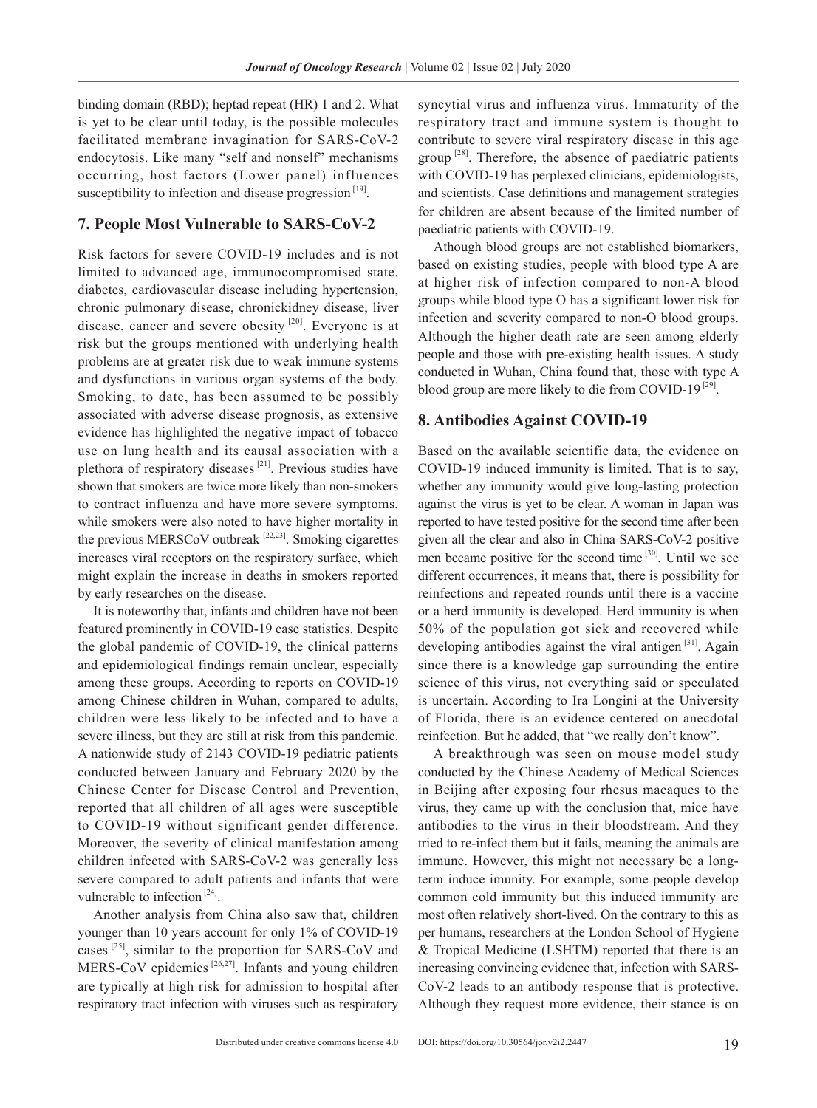binding domain (RBD); heptad repeat (HR) 1 and 2. What is yet to be clear until today, is the possible molecules facilitated membrane invagination for SARS-CoV-2 endocytosis. Like many "self and nonself" mechanisms occurring, host factors (Lower panel) influences susceptibility to infection and disease progression  $[19]$ .

#### **7. People Most Vulnerable to SARS-CoV-2**

Risk factors for severe COVID-19 includes and is not limited to advanced age, immunocompromised state, diabetes, cardiovascular disease including hypertension, chronic pulmonary disease, chronickidney disease, liver disease, cancer and severe obesity [20]. Everyone is at risk but the groups mentioned with underlying health problems are at greater risk due to weak immune systems and dysfunctions in various organ systems of the body. Smoking, to date, has been assumed to be possibly associated with adverse disease prognosis, as extensive evidence has highlighted the negative impact of tobacco use on lung health and its causal association with a plethora of respiratory diseases [21]. Previous studies have shown that smokers are twice more likely than non-smokers to contract influenza and have more severe symptoms, while smokers were also noted to have higher mortality in the previous MERSCoV outbreak [22,23]. Smoking cigarettes increases viral receptors on the respiratory surface, which might explain the increase in deaths in smokers reported by early researches on the disease.

It is noteworthy that, infants and children have not been featured prominently in COVID-19 case statistics. Despite the global pandemic of COVID-19, the clinical patterns and epidemiological findings remain unclear, especially among these groups. According to reports on COVID-19 among Chinese children in Wuhan, compared to adults, children were less likely to be infected and to have a severe illness, but they are still at risk from this pandemic. A nationwide study of 2143 COVID-19 pediatric patients conducted between January and February 2020 by the Chinese Center for Disease Control and Prevention, reported that all children of all ages were susceptible to COVID-19 without significant gender difference. Moreover, the severity of clinical manifestation among children infected with SARS-CoV-2 was generally less severe compared to adult patients and infants that were vulnerable to infection<sup>[24]</sup>.

Another analysis from China also saw that, children younger than 10 years account for only 1% of COVID-19 cases<sup>[25]</sup>, similar to the proportion for SARS-CoV and MERS-CoV epidemics  $[26,27]$ . Infants and young children are typically at high risk for admission to hospital after respiratory tract infection with viruses such as respiratory syncytial virus and influenza virus. Immaturity of the respiratory tract and immune system is thought to contribute to severe viral respiratory disease in this age group  $^{[28]}$ . Therefore, the absence of paediatric patients with COVID-19 has perplexed clinicians, epidemiologists, and scientists. Case definitions and management strategies for children are absent because of the limited number of paediatric patients with COVID-19.

Athough blood groups are not established biomarkers, based on existing studies, people with blood type A are at higher risk of infection compared to non-A blood groups while blood type O has a significant lower risk for infection and severity compared to non-O blood groups. Although the higher death rate are seen among elderly people and those with pre-existing health issues. A study conducted in Wuhan, China found that, those with type A blood group are more likely to die from COVID-19 $^{[29]}$ .

#### **8. Antibodies Against COVID-19**

Based on the available scientific data, the evidence on COVID-19 induced immunity is limited. That is to say, whether any immunity would give long-lasting protection against the virus is yet to be clear. A woman in Japan was reported to have tested positive for the second time after been given all the clear and also in China SARS-CoV-2 positive men became positive for the second time [30]. Until we see different occurrences, it means that, there is possibility for reinfections and repeated rounds until there is a vaccine or a herd immunity is developed. Herd immunity is when 50% of the population got sick and recovered while developing antibodies against the viral antigen  $[31]$ . Again since there is a knowledge gap surrounding the entire science of this virus, not everything said or speculated is uncertain. According to Ira Longini at the University of Florida, there is an evidence centered on anecdotal reinfection. But he added, that "we really don't know".

A breakthrough was seen on mouse model study conducted by the Chinese Academy of Medical Sciences in Beijing after exposing four rhesus macaques to the virus, they came up with the conclusion that, mice have antibodies to the virus in their bloodstream. And they tried to re-infect them but it fails, meaning the animals are immune. However, this might not necessary be a longterm induce imunity. For example, some people develop common cold immunity but this induced immunity are most often relatively short-lived. On the contrary to this as per humans, researchers at the London School of Hygiene & Tropical Medicine (LSHTM) reported that there is an increasing convincing evidence that, infection with SARS-CoV-2 leads to an antibody response that is protective. Although they request more evidence, their stance is on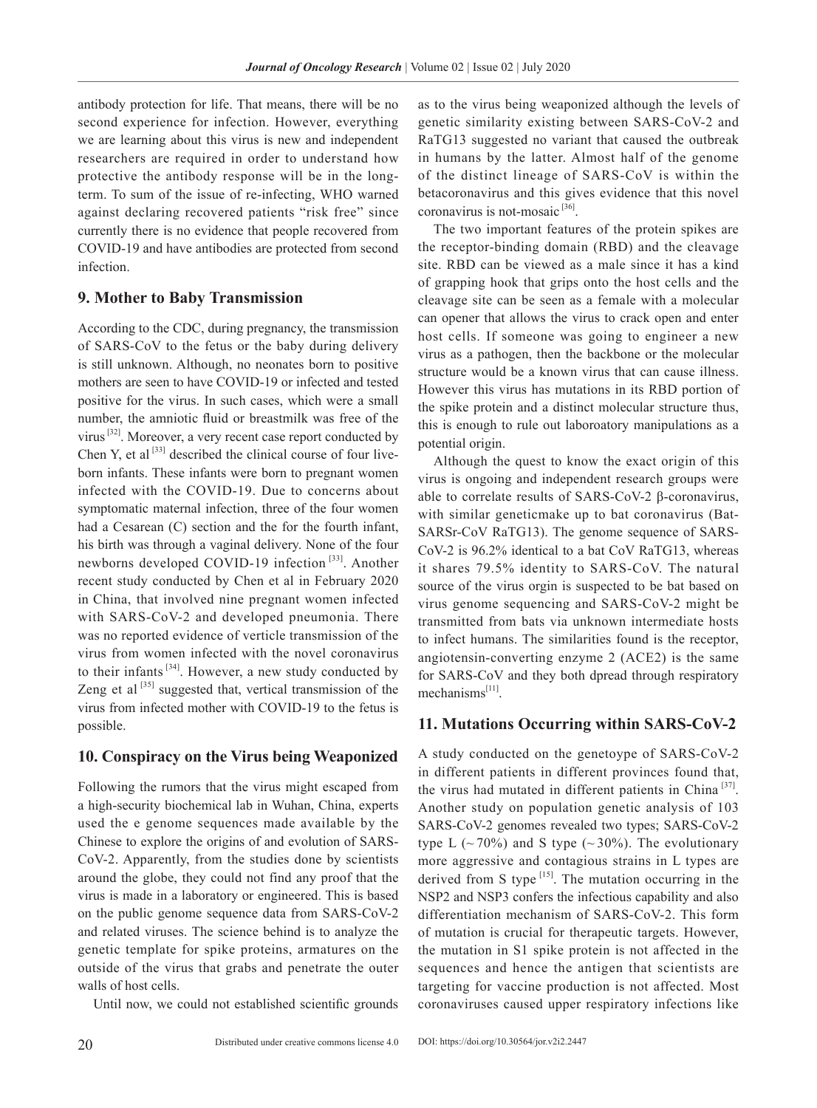antibody protection for life. That means, there will be no second experience for infection. However, everything we are learning about this virus is new and independent researchers are required in order to understand how protective the antibody response will be in the longterm. To sum of the issue of re-infecting, WHO warned against declaring recovered patients "risk free" since currently there is no evidence that people recovered from COVID-19 and have antibodies are protected from second infection.

#### **9. Mother to Baby Transmission**

According to the CDC, during pregnancy, the transmission of SARS-CoV to the fetus or the baby during delivery is still unknown. Although, no neonates born to positive mothers are seen to have COVID-19 or infected and tested positive for the virus. In such cases, which were a small number, the amniotic fluid or breastmilk was free of the virus [32]. Moreover, a very recent case report conducted by Chen Y, et al  $[33]$  described the clinical course of four liveborn infants. These infants were born to pregnant women infected with the COVID-19. Due to concerns about symptomatic maternal infection, three of the four women had a Cesarean (C) section and the for the fourth infant, his birth was through a vaginal delivery. None of the four newborns developed COVID-19 infection<sup>[33]</sup>. Another recent study conducted by Chen et al in February 2020 in China, that involved nine pregnant women infected with SARS-CoV-2 and developed pneumonia. There was no reported evidence of verticle transmission of the virus from women infected with the novel coronavirus to their infants  $[34]$ . However, a new study conducted by Zeng et al  $[35]$  suggested that, vertical transmission of the virus from infected mother with COVID-19 to the fetus is possible.

#### **10. Conspiracy on the Virus being Weaponized**

Following the rumors that the virus might escaped from a high-security biochemical lab in Wuhan, China, experts used the e genome sequences made available by the Chinese to explore the origins of and evolution of SARS-CoV-2. Apparently, from the studies done by scientists around the globe, they could not find any proof that the virus is made in a laboratory or engineered. This is based on the public genome sequence data from SARS-CoV-2 and related viruses. The science behind is to analyze the genetic template for spike proteins, armatures on the outside of the virus that grabs and penetrate the outer walls of host cells.

Until now, we could not established scientific grounds

as to the virus being weaponized although the levels of genetic similarity existing between SARS-CoV-2 and RaTG13 suggested no variant that caused the outbreak in humans by the latter. Almost half of the genome of the distinct lineage of SARS-CoV is within the betacoronavirus and this gives evidence that this novel coronavirus is not-mosaic  $[36]$ .

The two important features of the protein spikes are the receptor-binding domain (RBD) and the cleavage site. RBD can be viewed as a male since it has a kind of grapping hook that grips onto the host cells and the cleavage site can be seen as a female with a molecular can opener that allows the virus to crack open and enter host cells. If someone was going to engineer a new virus as a pathogen, then the backbone or the molecular structure would be a known virus that can cause illness. However this virus has mutations in its RBD portion of the spike protein and a distinct molecular structure thus, this is enough to rule out laboroatory manipulations as a potential origin.

Although the quest to know the exact origin of this virus is ongoing and independent research groups were able to correlate results of SARS-CoV-2 β-coronavirus, with similar geneticmake up to bat coronavirus (Bat-SARSr-CoV RaTG13). The genome sequence of SARS-CoV-2 is 96.2% identical to a bat CoV RaTG13, whereas it shares 79.5% identity to SARS-CoV. The natural source of the virus orgin is suspected to be bat based on virus genome sequencing and SARS-CoV-2 might be transmitted from bats via unknown intermediate hosts to infect humans. The similarities found is the receptor, angiotensin-converting enzyme 2 (ACE2) is the same for SARS-CoV and they both dpread through respiratory mechanisms $^{[11]}$ .

#### **11. Mutations Occurring within SARS-CoV-2**

A study conducted on the genetoype of SARS-CoV-2 in different patients in different provinces found that, the virus had mutated in different patients in China<sup>[37]</sup>. Another study on population genetic analysis of 103 SARS-CoV-2 genomes revealed two types; SARS-CoV-2 type L ( $\sim$  70%) and S type ( $\sim$  30%). The evolutionary more aggressive and contagious strains in L types are derived from S type  $[15]$ . The mutation occurring in the NSP2 and NSP3 confers the infectious capability and also differentiation mechanism of SARS-CoV-2. This form of mutation is crucial for therapeutic targets. However, the mutation in S1 spike protein is not affected in the sequences and hence the antigen that scientists are targeting for vaccine production is not affected. Most coronaviruses caused upper respiratory infections like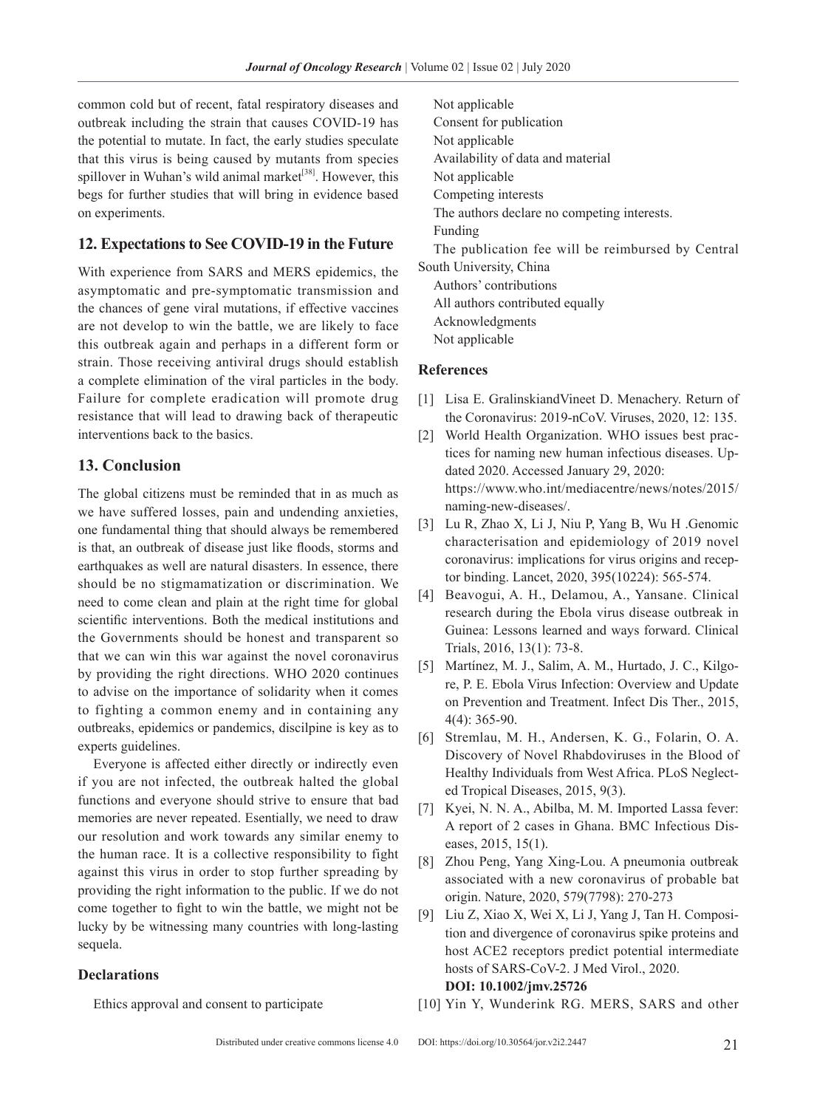common cold but of recent, fatal respiratory diseases and outbreak including the strain that causes COVID-19 has the potential to mutate. In fact, the early studies speculate that this virus is being caused by mutants from species spillover in Wuhan's wild animal market<sup>[38]</sup>. However, this begs for further studies that will bring in evidence based on experiments.

#### **12. Expectations to See COVID-19 in the Future**

With experience from SARS and MERS epidemics, the asymptomatic and pre-symptomatic transmission and the chances of gene viral mutations, if effective vaccines are not develop to win the battle, we are likely to face this outbreak again and perhaps in a different form or strain. Those receiving antiviral drugs should establish a complete elimination of the viral particles in the body. Failure for complete eradication will promote drug resistance that will lead to drawing back of therapeutic interventions back to the basics.

#### **13. Conclusion**

The global citizens must be reminded that in as much as we have suffered losses, pain and undending anxieties, one fundamental thing that should always be remembered is that, an outbreak of disease just like floods, storms and earthquakes as well are natural disasters. In essence, there should be no stigmamatization or discrimination. We need to come clean and plain at the right time for global scientific interventions. Both the medical institutions and the Governments should be honest and transparent so that we can win this war against the novel coronavirus by providing the right directions. WHO 2020 continues to advise on the importance of solidarity when it comes to fighting a common enemy and in containing any outbreaks, epidemics or pandemics, discilpine is key as to experts guidelines.

Everyone is affected either directly or indirectly even if you are not infected, the outbreak halted the global functions and everyone should strive to ensure that bad memories are never repeated. Esentially, we need to draw our resolution and work towards any similar enemy to the human race. It is a collective responsibility to fight against this virus in order to stop further spreading by providing the right information to the public. If we do not come together to fight to win the battle, we might not be lucky by be witnessing many countries with long-lasting sequela.

#### **Declarations**

Ethics approval and consent to participate

Not applicable Consent for publication Not applicable Availability of data and material Not applicable Competing interests The authors declare no competing interests. Funding The publication fee will be reimbursed by Central South University, China Authors' contributions All authors contributed equally Acknowledgments Not applicable

#### **References**

- [1] Lisa E. GralinskiandVineet D. Menachery. Return of the Coronavirus: 2019-nCoV. Viruses, 2020, 12: 135.
- [2] World Health Organization. WHO issues best practices for naming new human infectious diseases. Updated 2020. Accessed January 29, 2020: https://www.who.int/mediacentre/news/notes/2015/ naming-new-diseases/.
- [3] Lu R, Zhao X, Li J, Niu P, Yang B, Wu H .Genomic characterisation and epidemiology of 2019 novel coronavirus: implications for virus origins and receptor binding. Lancet, 2020, 395(10224): 565-574.
- [4] Beavogui, A. H., Delamou, A., Yansane. Clinical research during the Ebola virus disease outbreak in Guinea: Lessons learned and ways forward. Clinical Trials, 2016, 13(1): 73-8.
- [5] Martínez, M. J., Salim, A. M., Hurtado, J. C., Kilgore, P. E. Ebola Virus Infection: Overview and Update on Prevention and Treatment. Infect Dis Ther., 2015, 4(4): 365-90.
- [6] Stremlau, M. H., Andersen, K. G., Folarin, O. A. Discovery of Novel Rhabdoviruses in the Blood of Healthy Individuals from West Africa. PLoS Neglected Tropical Diseases, 2015, 9(3).
- [7] Kyei, N. N. A., Abilba, M. M. Imported Lassa fever: A report of 2 cases in Ghana. BMC Infectious Diseases, 2015, 15(1).
- [8] Zhou Peng, Yang Xing-Lou. A pneumonia outbreak associated with a new coronavirus of probable bat origin. Nature, 2020, 579(7798): 270-273
- [9] Liu Z, Xiao X, Wei X, Li J, Yang J, Tan H. Composition and divergence of coronavirus spike proteins and host ACE2 receptors predict potential intermediate hosts of SARS-CoV-2. J Med Virol., 2020. **DOI: 10.1002/jmv.25726**
- [10] Yin Y, Wunderink RG. MERS, SARS and other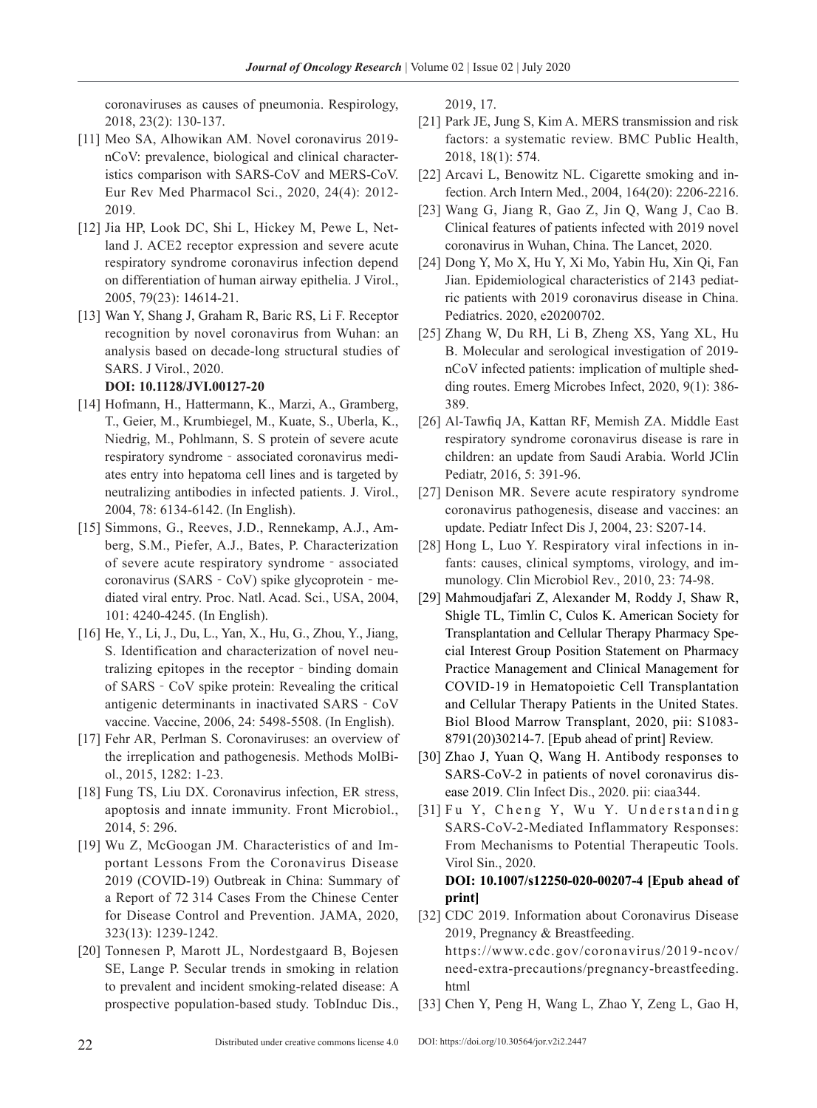coronaviruses as causes of pneumonia. Respirology, 2018, 23(2): 130-137.

- [11] Meo SA, Alhowikan AM. Novel coronavirus 2019 nCoV: prevalence, biological and clinical characteristics comparison with SARS-CoV and MERS-CoV. Eur Rev Med Pharmacol Sci., 2020, 24(4): 2012- 2019.
- [12] Jia HP, Look DC, Shi L, Hickey M, Pewe L, Netland J. ACE2 receptor expression and severe acute respiratory syndrome coronavirus infection depend on differentiation of human airway epithelia. J Virol., 2005, 79(23): 14614-21.
- [13] Wan Y, Shang J, Graham R, Baric RS, Li F. Receptor recognition by novel coronavirus from Wuhan: an analysis based on decade-long structural studies of SARS. J Virol., 2020.

#### **DOI: 10.1128/JVI.00127-20**

- [14] Hofmann, H., Hattermann, K., Marzi, A., Gramberg, T., Geier, M., Krumbiegel, M., Kuate, S., Uberla, K., Niedrig, M., Pohlmann, S. S protein of severe acute respiratory syndrome‐associated coronavirus mediates entry into hepatoma cell lines and is targeted by neutralizing antibodies in infected patients. J. Virol., 2004, 78: 6134-6142. (In English).
- [15] Simmons, G., Reeves, J.D., Rennekamp, A.J., Amberg, S.M., Piefer, A.J., Bates, P. Characterization of severe acute respiratory syndrome‐associated coronavirus (SARS‐CoV) spike glycoprotein‐mediated viral entry. Proc. Natl. Acad. Sci., USA, 2004, 101: 4240-4245. (In English).
- [16] He, Y., Li, J., Du, L., Yan, X., Hu, G., Zhou, Y., Jiang, S. Identification and characterization of novel neutralizing epitopes in the receptor‐binding domain of SARS‐CoV spike protein: Revealing the critical antigenic determinants in inactivated SARS‐CoV vaccine. Vaccine, 2006, 24: 5498-5508. (In English).
- [17] Fehr AR, Perlman S. Coronaviruses: an overview of the irreplication and pathogenesis. Methods MolBiol., 2015, 1282: 1-23.
- [18] Fung TS, Liu DX. Coronavirus infection, ER stress, apoptosis and innate immunity. Front Microbiol., 2014, 5: 296.
- [19] Wu Z, McGoogan JM. Characteristics of and Important Lessons From the Coronavirus Disease 2019 (COVID-19) Outbreak in China: Summary of a Report of 72 314 Cases From the Chinese Center for Disease Control and Prevention. JAMA, 2020, 323(13): 1239-1242.
- [20] Tonnesen P, Marott JL, Nordestgaard B, Bojesen SE, Lange P. Secular trends in smoking in relation to prevalent and incident smoking-related disease: A prospective population-based study. TobInduc Dis.,

2019, 17.

- [21] Park JE, Jung S, Kim A. MERS transmission and risk factors: a systematic review. BMC Public Health, 2018, 18(1): 574.
- [22] Arcavi L, Benowitz NL. Cigarette smoking and infection. Arch Intern Med., 2004, 164(20): 2206-2216.
- [23] Wang G, Jiang R, Gao Z, Jin Q, Wang J, Cao B. Clinical features of patients infected with 2019 novel coronavirus in Wuhan, China. The Lancet, 2020.
- [24] Dong Y, Mo X, Hu Y, Xi Mo, Yabin Hu, Xin Qi, Fan Jian. Epidemiological characteristics of 2143 pediatric patients with 2019 coronavirus disease in China. Pediatrics. 2020, e20200702.
- [25] Zhang W, Du RH, Li B, Zheng XS, Yang XL, Hu B. Molecular and serological investigation of 2019 nCoV infected patients: implication of multiple shedding routes. Emerg Microbes Infect, 2020, 9(1): 386- 389.
- [26] Al-Tawfiq JA, Kattan RF, Memish ZA. Middle East respiratory syndrome coronavirus disease is rare in children: an update from Saudi Arabia. World JClin Pediatr, 2016, 5: 391-96.
- [27] Denison MR. Severe acute respiratory syndrome coronavirus pathogenesis, disease and vaccines: an update. Pediatr Infect Dis J, 2004, 23: S207-14.
- [28] Hong L, Luo Y. Respiratory viral infections in infants: causes, clinical symptoms, virology, and immunology. Clin Microbiol Rev., 2010, 23: 74-98.
- [29] Mahmoudjafari Z, Alexander M, Roddy J, Shaw R, Shigle TL, Timlin C, Culos K. American Society for Transplantation and Cellular Therapy Pharmacy Special Interest Group Position Statement on Pharmacy Practice Management and Clinical Management for COVID-19 in Hematopoietic Cell Transplantation and Cellular Therapy Patients in the United States. Biol Blood Marrow Transplant, 2020, pii: S1083- 8791(20)30214-7. [Epub ahead of print] Review.
- [30] Zhao J, Yuan Q, Wang H. Antibody responses to SARS-CoV-2 in patients of novel coronavirus disease 2019. Clin Infect Dis., 2020. pii: ciaa344.
- [31] Fu Y, Cheng Y, Wu Y. Understanding SARS-CoV-2-Mediated Inflammatory Responses: From Mechanisms to Potential Therapeutic Tools. Virol Sin., 2020. **DOI: 10.1007/s12250-020-00207-4 [Epub ahead of**

# **print]**

- [32] CDC 2019. Information about Coronavirus Disease 2019, Pregnancy & Breastfeeding. https://www.cdc.gov/coronavirus/2019-ncov/ need-extra-precautions/pregnancy-breastfeeding. html
- [33] Chen Y, Peng H, Wang L, Zhao Y, Zeng L, Gao H,